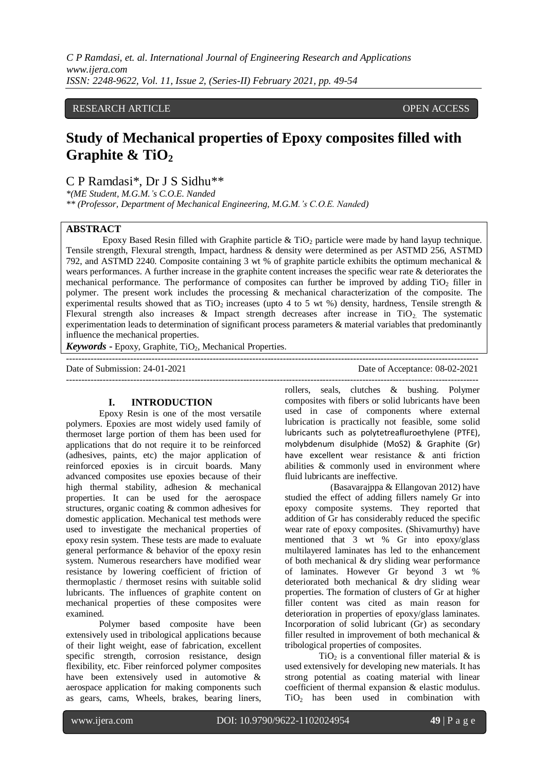*C P Ramdasi, et. al. International Journal of Engineering Research and Applications www.ijera.com ISSN: 2248-9622, Vol. 11, Issue 2, (Series-II) February 2021, pp. 49-54*

## RESEARCH ARTICLE **OPEN ACCESS**

# **Study of Mechanical properties of Epoxy composites filled with**  Graphite & TiO<sub>2</sub>

C P Ramdasi\*, Dr J S Sidhu\*\*

*\*(ME Student, M.G.M.'s C.O.E. Nanded*

*\*\* (Professor, Department of Mechanical Engineering, M.G.M.'s C.O.E. Nanded)*

## **ABSTRACT**

Epoxy Based Resin filled with Graphite particle  $\&$  TiO<sub>2</sub> particle were made by hand layup technique. Tensile strength, Flexural strength, Impact, hardness & density were determined as per ASTMD 256, ASTMD 792, and ASTMD 2240. Composite containing 3 wt % of graphite particle exhibits the optimum mechanical & wears performances. A further increase in the graphite content increases the specific wear rate & deteriorates the mechanical performance. The performance of composites can further be improved by adding  $TiO<sub>2</sub>$  filler in polymer. The present work includes the processing & mechanical characterization of the composite. The experimental results showed that as TiO<sub>2</sub> increases (upto 4 to 5 wt %) density, hardness, Tensile strength  $\&$ Flexural strength also increases  $\&$  Impact strength decreases after increase in TiO<sub>2</sub>. The systematic experimentation leads to determination of significant process parameters & material variables that predominantly influence the mechanical properties.

*Keywords* **-** Epoxy, Graphite, TiO<sub>2</sub>, Mechanical Properties.

---------------------------------------------------------------------------------------------------------------------------------------

Date of Submission: 24-01-2021 Date of Acceptance: 08-02-2021 ---------------------------------------------------------------------------------------------------------------------------------------

#### **I. INTRODUCTION**

Epoxy Resin is one of the most versatile polymers. Epoxies are most widely used family of thermoset large portion of them has been used for applications that do not require it to be reinforced (adhesives, paints, etc) the major application of reinforced epoxies is in circuit boards. Many advanced composites use epoxies because of their high thermal stability, adhesion & mechanical properties. It can be used for the aerospace structures, organic coating & common adhesives for domestic application. Mechanical test methods were used to investigate the mechanical properties of epoxy resin system. These tests are made to evaluate general performance & behavior of the epoxy resin system. Numerous researchers have modified wear resistance by lowering coefficient of friction of thermoplastic / thermoset resins with suitable solid lubricants. The influences of graphite content on mechanical properties of these composites were examined.

Polymer based composite have been extensively used in tribological applications because of their light weight, ease of fabrication, excellent specific strength, corrosion resistance, design flexibility, etc. Fiber reinforced polymer composites have been extensively used in automotive & aerospace application for making components such as gears, cams, Wheels, brakes, bearing liners,

rollers, seals, clutches & bushing. Polymer composites with fibers or solid lubricants have been used in case of components where external lubrication is practically not feasible, some solid lubricants such as polytetreafluroethylene (PTFE), molybdenum disulphide (MoS2) & Graphite (Gr) have excellent wear resistance & anti friction abilities & commonly used in environment where fluid lubricants are ineffective.

 (Basavarajppa & Ellangovan 2012) have studied the effect of adding fillers namely Gr into epoxy composite systems. They reported that addition of Gr has considerably reduced the specific wear rate of epoxy composites. (Shivamurthy) have mentioned that 3 wt % Gr into epoxy/glass multilayered laminates has led to the enhancement of both mechanical & dry sliding wear performance of laminates. However Gr beyond 3 wt % deteriorated both mechanical & dry sliding wear properties. The formation of clusters of Gr at higher filler content was cited as main reason for deterioration in properties of epoxy/glass laminates. Incorporation of solid lubricant (Gr) as secondary filler resulted in improvement of both mechanical & tribological properties of composites.

TiO<sub>2</sub> is a conventional filler material  $\&$  is used extensively for developing new materials. It has strong potential as coating material with linear coefficient of thermal expansion & elastic modulus. TiO<sub>2</sub> has been used in combination with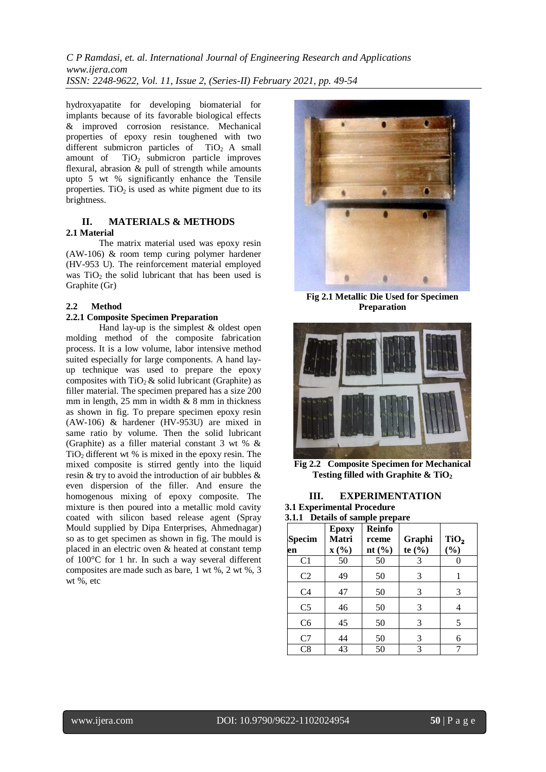*C P Ramdasi, et. al. International Journal of Engineering Research and Applications www.ijera.com ISSN: 2248-9622, Vol. 11, Issue 2, (Series-II) February 2021, pp. 49-54*

hydroxyapatite for developing biomaterial for implants because of its favorable biological effects & improved corrosion resistance. Mechanical properties of epoxy resin toughened with two different submicron particles of  $TiO<sub>2</sub>$  A small<br>amount of  $TiO<sub>2</sub>$  submicron particle improves  $TiO<sub>2</sub>$  submicron particle improves flexural, abrasion & pull of strength while amounts upto 5 wt % significantly enhance the Tensile properties.  $TiO<sub>2</sub>$  is used as white pigment due to its brightness.

# **II. MATERIALS & METHODS 2.1 Material**

The matrix material used was epoxy resin (AW-106) & room temp curing polymer hardener (HV-953 U). The reinforcement material employed was  $TiO<sub>2</sub>$  the solid lubricant that has been used is Graphite (Gr)

## **2.2 Method**

# **2.2.1 Composite Specimen Preparation**

Hand lay-up is the simplest & oldest open molding method of the composite fabrication process. It is a low volume, labor intensive method suited especially for large components. A hand layup technique was used to prepare the epoxy composites with  $TiO<sub>2</sub>$  & solid lubricant (Graphite) as filler material. The specimen prepared has a size 200 mm in length, 25 mm in width & 8 mm in thickness as shown in fig. To prepare specimen epoxy resin (AW-106) & hardener (HV-953U) are mixed in same ratio by volume. Then the solid lubricant (Graphite) as a filler material constant 3 wt % &  $TiO<sub>2</sub>$  different wt % is mixed in the epoxy resin. The mixed composite is stirred gently into the liquid resin & try to avoid the introduction of air bubbles & even dispersion of the filler. And ensure the homogenous mixing of epoxy composite. The mixture is then poured into a metallic mold cavity coated with silicon based release agent (Spray Mould supplied by Dipa Enterprises, Ahmednagar) so as to get specimen as shown in fig. The mould is placed in an electric oven & heated at constant temp of 100°C for 1 hr. In such a way several different composites are made such as bare, 1 wt %, 2 wt %, 3 wt %, etc



**Fig 2.1 Metallic Die Used for Specimen Preparation**



**Fig 2.2 Composite Specimen for Mechanical Testing filled with Graphite & TiO<sup>2</sup>**

# **III. EXPERIMENTATION**

**3.1 Experimental Procedure 3.1.1 Details of sample prepare**

| <b>Specim</b><br>en | <b>Epoxy</b><br>Matri<br>$\mathbf{X}(\% )$ | <b>Reinfo</b><br>rceme<br>nt $(\% )$ | Graphi<br>te $(\% )$ | TiO <sub>2</sub><br>$(\%)$ |
|---------------------|--------------------------------------------|--------------------------------------|----------------------|----------------------------|
| C <sub>1</sub>      | 50                                         | 50                                   | 3                    |                            |
| C <sub>2</sub>      | 49                                         | 50                                   | 3                    |                            |
| C <sub>4</sub>      | 47                                         | 50                                   | 3                    | 3                          |
| C <sub>5</sub>      | 46                                         | 50                                   | 3                    | 4                          |
| C <sub>6</sub>      | 45                                         | 50                                   | 3                    | 5                          |
| C7                  | 44                                         | 50                                   | 3                    | 6                          |
| C8                  | 43                                         | 50                                   | 3                    |                            |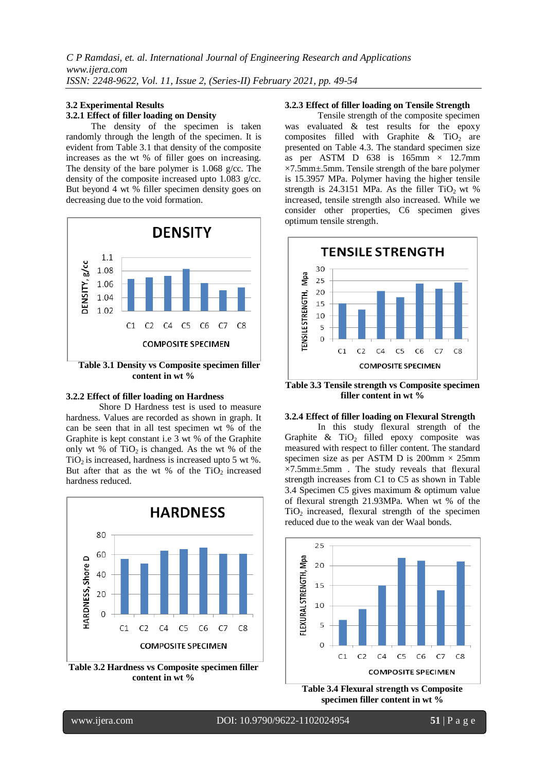#### **3.2 Experimental Results 3.2.1 Effect of filler loading on Density**

 The density of the specimen is taken randomly through the length of the specimen. It is evident from Table 3.1 that density of the composite increases as the wt % of filler goes on increasing. The density of the bare polymer is 1.068 g/cc. The density of the composite increased upto 1.083 g/cc. But beyond 4 wt % filler specimen density goes on decreasing due to the void formation.



 **Table 3.1 Density vs Composite specimen filler content in wt %**

#### **3.2.2 Effect of filler loading on Hardness**

Shore D Hardness test is used to measure hardness. Values are recorded as shown in graph. It can be seen that in all test specimen wt % of the Graphite is kept constant i.e 3 wt % of the Graphite only wt % of  $TiO<sub>2</sub>$  is changed. As the wt % of the  $TiO<sub>2</sub>$  is increased, hardness is increased upto 5 wt %. But after that as the wt % of the  $TiO<sub>2</sub>$  increased hardness reduced.



**Table 3.2 Hardness vs Composite specimen filler content in wt %**

#### **3.2.3 Effect of filler loading on Tensile Strength**

Tensile strength of the composite specimen was evaluated & test results for the epoxy composites filled with Graphite  $\&$  TiO<sub>2</sub> are presented on Table 4.3. The standard specimen size as per ASTM D  $638$  is  $165$ mm  $\times$  12.7mm ×7.5mm±.5mm. Tensile strength of the bare polymer is 15.3957 MPa. Polymer having the higher tensile strength is  $24.3151$  MPa. As the filler TiO<sub>2</sub> wt % increased, tensile strength also increased. While we consider other properties, C6 specimen gives optimum tensile strength.



**Table 3.3 Tensile strength vs Composite specimen filler content in wt %**

#### **3.2.4 Effect of filler loading on Flexural Strength**

In this study flexural strength of the Graphite  $\&$  TiO<sub>2</sub> filled epoxy composite was measured with respect to filler content. The standard specimen size as per ASTM D is  $200 \text{mm} \times 25 \text{mm}$  $\times$ 7.5mm $\pm$ .5mm. The study reveals that flexural strength increases from C1 to C5 as shown in Table 3.4 Specimen C5 gives maximum & optimum value of flexural strength 21.93MPa. When wt % of the  $TiO<sub>2</sub>$  increased, flexural strength of the specimen reduced due to the weak van der Waal bonds.



**specimen filler content in wt %**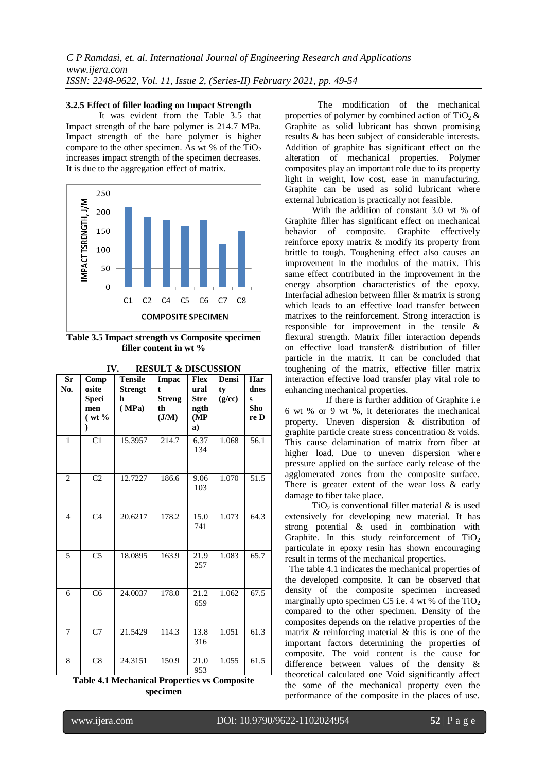#### **3.2.5 Effect of filler loading on Impact Strength**

It was evident from the Table 3.5 that Impact strength of the bare polymer is 214.7 MPa. Impact strength of the bare polymer is higher compare to the other specimen. As wt % of the  $TiO<sub>2</sub>$ increases impact strength of the specimen decreases. It is due to the aggregation effect of matrix.



**Table 3.5 Impact strength vs Composite specimen filler content in wt %**

| Sr<br>No.                                    | Comp<br>osite<br><b>Speci</b><br>men<br>$(wt\%$<br>$\mathcal{E}$ | <b>Tensile</b><br><b>Strengt</b><br>h<br>(MPa) | <b>Impac</b><br>$\ddagger$<br><b>Streng</b><br>th<br>J/M | <b>Flex</b><br>ural<br><b>Stre</b><br>ngth<br>(MP)<br>a) | Densi<br>ty<br>(g/cc) | Har<br>dnes<br>S<br>Sho<br>re D |  |  |
|----------------------------------------------|------------------------------------------------------------------|------------------------------------------------|----------------------------------------------------------|----------------------------------------------------------|-----------------------|---------------------------------|--|--|
| $\mathbf{1}$                                 | $\overline{C1}$                                                  | 15.3957                                        | 214.7                                                    | 6.37<br>134                                              | 1.068                 | 56.1                            |  |  |
| $\overline{2}$                               | $\overline{C2}$                                                  | 12.7227                                        | 186.6                                                    | 9.06<br>103                                              | 1.070                 | 51.5                            |  |  |
| $\overline{4}$                               | C <sub>4</sub>                                                   | 20.6217                                        | 178.2                                                    | 15.0<br>741                                              | 1.073                 | 64.3                            |  |  |
| 5                                            | C <sub>5</sub>                                                   | 18.0895                                        | 163.9                                                    | 21.9<br>257                                              | 1.083                 | 65.7                            |  |  |
| 6                                            | $\overline{\text{C6}}$                                           | 24.0037                                        | 178.0                                                    | 21.2<br>659                                              | 1.062                 | 67.5                            |  |  |
| 7                                            | C7                                                               | 21.5429                                        | 114.3                                                    | 13.8<br>316                                              | 1.051                 | 61.3                            |  |  |
| 8                                            | $\overline{C8}$                                                  | 24.3151                                        | 150.9                                                    | 21.0<br>953                                              | 1.055                 | 61.5                            |  |  |
| Table 4.1 Mechanical Properties vs Composite |                                                                  |                                                |                                                          |                                                          |                       |                                 |  |  |

**IV. RESULT & DISCUSSION**

**Table 4.1 Mechanical Properties vs Composite specimen** 

The modification of the mechanical properties of polymer by combined action of  $TiO<sub>2</sub>$  & Graphite as solid lubricant has shown promising results & has been subject of considerable interests. Addition of graphite has significant effect on the alteration of mechanical properties. Polymer composites play an important role due to its property light in weight, low cost, ease in manufacturing. Graphite can be used as solid lubricant where external lubrication is practically not feasible.

 With the addition of constant 3.0 wt % of Graphite filler has significant effect on mechanical behavior of composite. Graphite effectively reinforce epoxy matrix & modify its property from brittle to tough. Toughening effect also causes an improvement in the modulus of the matrix. This same effect contributed in the improvement in the energy absorption characteristics of the epoxy. Interfacial adhesion between filler & matrix is strong which leads to an effective load transfer between matrixes to the reinforcement. Strong interaction is responsible for improvement in the tensile & flexural strength. Matrix filler interaction depends on effective load transfer& distribution of filler particle in the matrix. It can be concluded that toughening of the matrix, effective filler matrix interaction effective load transfer play vital role to enhancing mechanical properties.

 If there is further addition of Graphite i.e 6 wt % or 9 wt %, it deteriorates the mechanical property. Uneven dispersion & distribution of graphite particle create stress concentration & voids. This cause delamination of matrix from fiber at higher load. Due to uneven dispersion where pressure applied on the surface early release of the agglomerated zones from the composite surface. There is greater extent of the wear loss & early damage to fiber take place.

 $TiO<sub>2</sub>$  is conventional filler material & is used extensively for developing new material. It has strong potential & used in combination with Graphite. In this study reinforcement of  $TiO<sub>2</sub>$ particulate in epoxy resin has shown encouraging result in terms of the mechanical properties.

 The table 4.1 indicates the mechanical properties of the developed composite. It can be observed that density of the composite specimen increased marginally upto specimen C5 i.e. 4 wt % of the  $TiO<sub>2</sub>$ compared to the other specimen. Density of the composites depends on the relative properties of the matrix & reinforcing material & this is one of the important factors determining the properties of composite. The void content is the cause for difference between values of the density & theoretical calculated one Void significantly affect the some of the mechanical property even the performance of the composite in the places of use.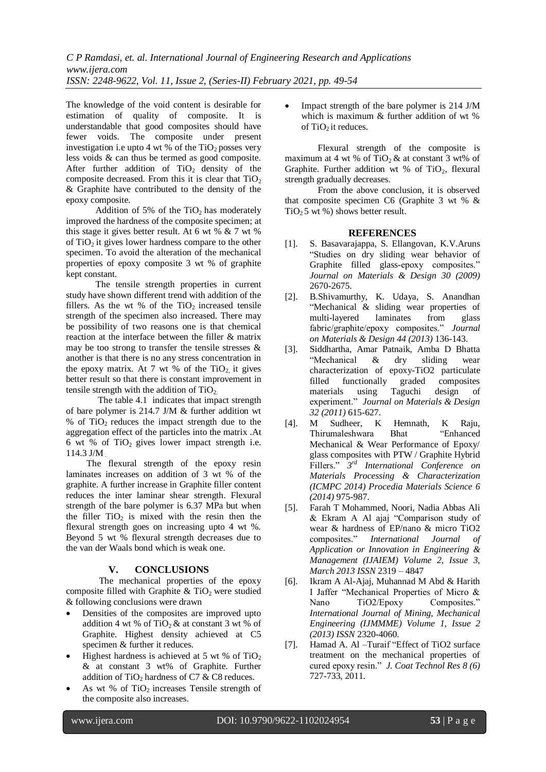The knowledge of the void content is desirable for estimation of quality of composite. It is understandable that good composites should have fewer voids. The composite under present investigation i.e upto 4 wt % of the  $TiO<sub>2</sub>$  posses very less voids & can thus be termed as good composite. After further addition of  $TiO<sub>2</sub>$  density of the composite decreased. From this it is clear that  $TiO<sub>2</sub>$ & Graphite have contributed to the density of the epoxy composite.

Addition of 5% of the  $TiO<sub>2</sub>$  has moderately improved the hardness of the composite specimen; at this stage it gives better result. At 6 wt %  $\&$  7 wt % of  $TiO<sub>2</sub>$  it gives lower hardness compare to the other specimen. To avoid the alteration of the mechanical properties of epoxy composite 3 wt % of graphite kept constant.

 The tensile strength properties in current study have shown different trend with addition of the fillers. As the wt % of the  $TiO<sub>2</sub>$  increased tensile strength of the specimen also increased. There may be possibility of two reasons one is that chemical reaction at the interface between the filler & matrix may be too strong to transfer the tensile stresses & another is that there is no any stress concentration in the epoxy matrix. At 7 wt % of the  $TiO<sub>2</sub>$  it gives better result so that there is constant improvement in tensile strength with the addition of  $TiO<sub>2</sub>$ .

 The table 4.1 indicates that impact strength of bare polymer is 214.7 J/M & further addition wt % of  $TiO<sub>2</sub>$  reduces the impact strength due to the aggregation effect of the particles into the matrix .At 6 wt % of  $TiO<sub>2</sub>$  gives lower impact strength i.e. 114.3 J/M .

 The flexural strength of the epoxy resin laminates increases on addition of 3 wt % of the graphite. A further increase in Graphite filler content reduces the inter laminar shear strength. Flexural strength of the bare polymer is 6.37 MPa but when the filler  $TiO<sub>2</sub>$  is mixed with the resin then the flexural strength goes on increasing upto 4 wt %. Beyond 5 wt % flexural strength decreases due to the van der Waals bond which is weak one.

## **V. CONCLUSIONS**

The mechanical properties of the epoxy composite filled with Graphite  $\&$  TiO<sub>2</sub> were studied & following conclusions were drawn

- Densities of the composites are improved upto addition 4 wt % of  $TiO<sub>2</sub>$ & at constant 3 wt % of Graphite. Highest density achieved at C5 specimen & further it reduces.
- Highest hardness is achieved at 5 wt % of  $TiO<sub>2</sub>$ & at constant 3 wt% of Graphite. Further addition of TiO<sub>2</sub> hardness of C7  $\&$  C8 reduces.
- As wt % of  $TiO<sub>2</sub>$  increases Tensile strength of the composite also increases.

 Impact strength of the bare polymer is 214 J/M which is maximum & further addition of wt % of TiO<sub>2</sub> it reduces.

Flexural strength of the composite is maximum at 4 wt % of  $TiO<sub>2</sub>$  & at constant 3 wt% of Graphite. Further addition wt % of  $TiO<sub>2</sub>$ , flexural strength gradually decreases.

From the above conclusion, it is observed that composite specimen C6 (Graphite 3 wt % &  $TiO<sub>2</sub>5$  wt %) shows better result.

# **REFERENCES**

- [1]. S. Basavarajappa, S. Ellangovan, K.V.Aruns "Studies on dry sliding wear behavior of Graphite filled glass-epoxy composites." *Journal on Materials & Design 30 (2009)* 2670-2675.
- [2]. B.Shivamurthy, K. Udaya, S. Anandhan "Mechanical & sliding wear properties of multi-layered laminates from glass fabric/graphite/epoxy composites." *Journal on Materials & Design 44 (2013)* 136-143.
- [3]. Siddhartha, Amar Patnaik, Amba D Bhatta "Mechanical & dry sliding wear characterization of epoxy-TiO2 particulate<br>filled functionally graded composites filled functionally graded composites materials using Taguchi design of experiment." *Journal on Materials & Design 32 (2011)* 615-627.
- [4]. M Sudheer, K Hemnath, K Raju, Thirumaleshwara Bhat "Enhanced Mechanical & Wear Performance of Epoxy/ glass composites with PTW / Graphite Hybrid Fillers." *3 rd International Conference on Materials Processing & Characterization (ICMPC 2014) Procedia Materials Science 6 (2014)* 975-987.
- [5]. Farah T Mohammed, Noori, Nadia Abbas Ali & Ekram A Al ajaj "Comparison study of wear & hardness of EP/nano & micro TiO2 composites." *International Journal of Application or Innovation in Engineering & Management (IJAIEM) Volume 2, Issue 3, March 2013 ISSN* 2319 – 4847
- [6]. Ikram A Al-Ajaj, Muhannad M Abd & Harith I Jaffer "Mechanical Properties of Micro & Nano TiO2/Epoxy Composites." *International Journal of Mining, Mechanical Engineering (IJMMME) Volume 1, Issue 2 (2013) ISSN* 2320-4060.
- [7]. Hamad A. Al –Turaif "Effect of TiO2 surface treatment on the mechanical properties of cured epoxy resin." *J. Coat Technol Res 8 (6)* 727-733, 2011.